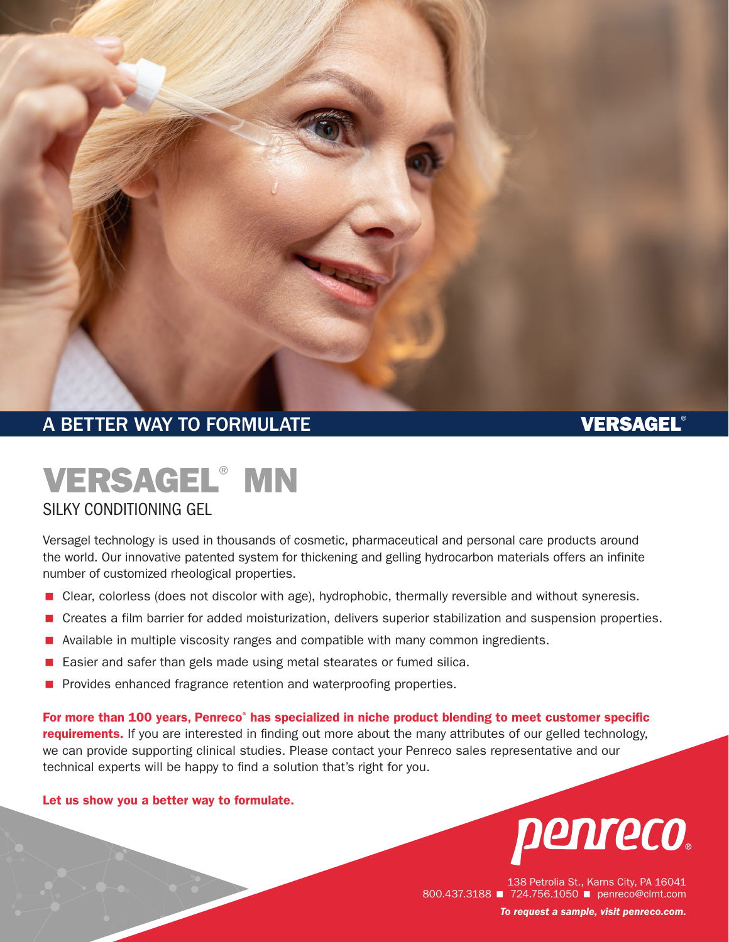

# A BETTER WAY TO FORMULATE A RESIDENCE OF A BETTER WAY TO FORMULATE

# VERSAGEL® MN

### SILKY CONDITIONING GEL

Versagel technology is used in thousands of cosmetic, pharmaceutical and personal care products around the world. Our innovative patented system for thickening and gelling hydrocarbon materials offers an infinite number of customized rheological properties.

- **E** Clear, colorless (does not discolor with age), hydrophobic, thermally reversible and without syneresis.
- < Creates a film barrier for added moisturization, delivers superior stabilization and suspension properties.
- Available in multiple viscosity ranges and compatible with many common ingredients.
- < Easier and safer than gels made using metal stearates or fumed silica.
- **Provides enhanced fragrance retention and waterproofing properties.**

For more than 100 years, Penreco<sup>®</sup> has specialized in niche product blending to meet customer specific requirements. If you are interested in finding out more about the many attributes of our gelled technology, we can provide supporting clinical studies. Please contact your Penreco sales representative and our technical experts will be happy to find a solution that's right for you.

### Let us show you a better way to formulate.



138 Petrolia St., Karns City, PA 16041 800.437.3188 **1 724.756.1050** penreco@clmt.com *To request a sample, visit [penreco.com](http://penreco.com/).*